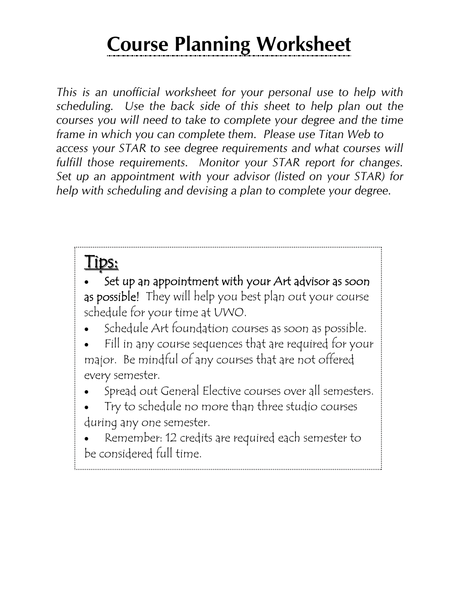## **Course Planning Worksheet**

*This is an unofficial worksheet for your personal use to help with scheduling. Use the back side of this sheet to help plan out the courses you will need to take to complete your degree and the time frame in which you can complete them. Please use Titan Web to access your STAR to see degree requirements and what courses will fulfill those requirements. Monitor your STAR report for changes. Set up an appointment with your advisor (listed on your STAR) for help with scheduling and devising a plan to complete your degree.* 

## <u>l</u> ips:

Set up an appointment with your Art advisor as soon as possible! They will help you best plan out your course schedule for your time at UWO.

• Schedule Art foundation courses as soon as possible.

Fill in any course sequences that are required for your major. Be mindful of any courses that are not offered every semester.

- Spread out General Elective courses over all semesters.
- Try to schedule no more than three studio courses during any one semester.

Remember: 12 credits are required each semester to be considered full time.